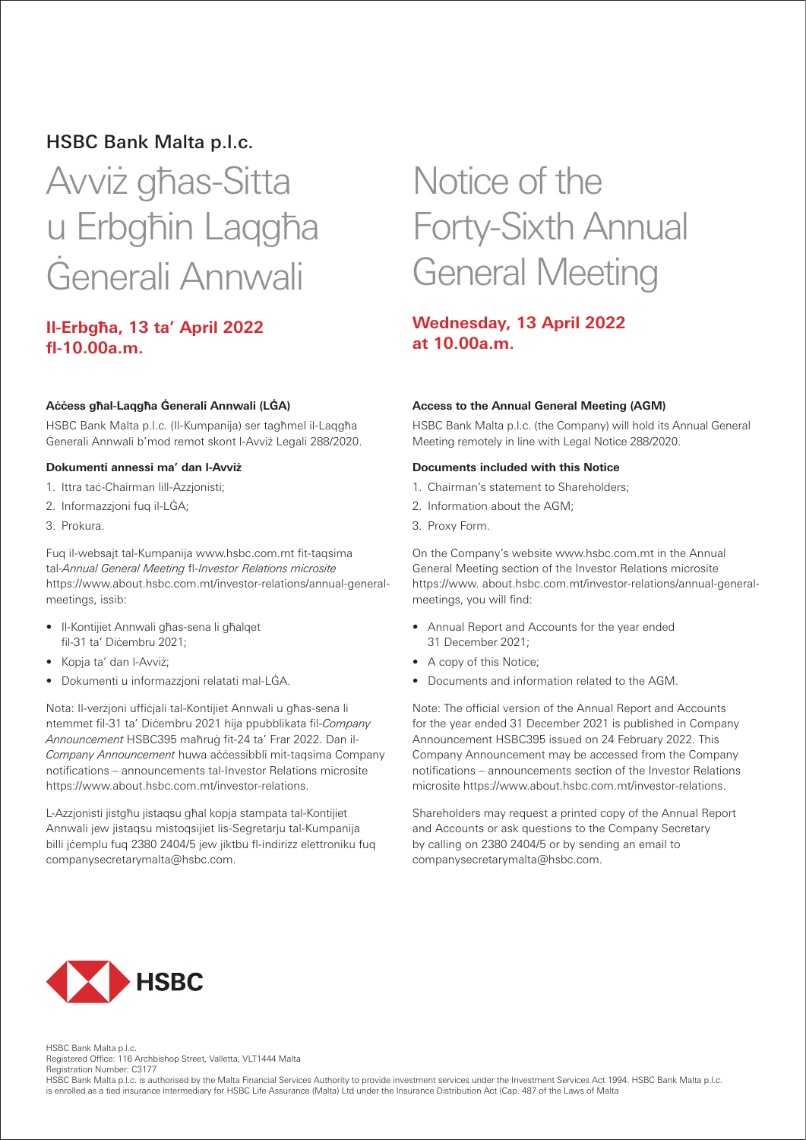# HSBC Bank Malta p.l.c.

# Avviż għas-Sitta u Erbgħin Laqgħa Ġenerali Annwali

### **Il-Erbgħa, 13 ta' April 2022 fl-10.00a.m.**

#### **Aċċess għal-Laqgħa Ġenerali Annwali (LĠA)**

HSBC Bank Malta p.l.c. (Il-Kumpanija) ser tagħmel il-Laqgħa Ġenerali Annwali b'mod remot skont l-Avviż Legali 288/2020.

#### **Dokumenti annessi ma' dan l-Avviż**

- 1. Ittra taċ-Chairman lill-Azzjonisti;
- 2. Informazzjoni fuq il-LĠA;
- 3. Prokura.

Fuq il-websajt tal-Kumpanija www.hsbc.com.mt fit-taqsima tal-*Annual General Meeting* fl-*Investor Relations microsite* https://www.about.hsbc.com.mt/investor-relations/annual-generalmeetings, issib:

- Il-Kontijiet Annwali għas-sena li għalqet fil-31 ta' Dicembru 2021;
- Kopja ta' dan l-Avviż;
- Dokumenti u informazzjoni relatati mal-LĠA.

Nota: Il-verżjoni uffiċjali tal-Kontijiet Annwali u għas-sena li ntemmet fil-31 ta' Diċembru 2021 hija ppubblikata fil-*Company Announcement* HSBC395 maħruġ fit-24 ta' Frar 2022. Dan il-*Company Announcement* huwa aċċessibbli mit-taqsima Company notifications – announcements tal-Investor Relations microsite https://www.about.hsbc.com.mt/investor-relations.

L-Azzjonisti jistgħu jistaqsu għal kopja stampata tal-Kontijiet Annwali jew jistaqsu mistoqsijiet lis-Segretarju tal-Kumpanija billi jćemplu fuq 2380 2404/5 jew jiktbu fl-indirizz elettroniku fuq companysecretarymalta@hsbc.com.

# Notice of the Forty-Sixth Annual General Meeting

# **Wednesday, 13 April 2022 at 10.00a.m.**

#### **Access to the Annual General Meeting (AGM)**

HSBC Bank Malta p.l.c. (the Company) will hold its Annual General Meeting remotely in line with Legal Notice 288/2020.

#### **Documents included with this Notice**

- 1. Chairman's statement to Shareholders;
- 2. Information about the AGM;
- 3. Proxy Form.

On the Company's website www.hsbc.com.mt in the Annual General Meeting section of the Investor Relations microsite https://www. about.hsbc.com.mt/investor-relations/annual-generalmeetings, you will find:

- Annual Report and Accounts for the year ended 31 December 2021;
- A copy of this Notice;
- Documents and information related to the AGM.

Note: The official version of the Annual Report and Accounts for the year ended 31 December 2021 is published in Company Announcement HSBC395 issued on 24 February 2022. This Company Announcement may be accessed from the Company notifications – announcements section of the Investor Relations microsite https://www.about.hsbc.com.mt/investor-relations.

Shareholders may request a printed copy of the Annual Report and Accounts or ask questions to the Company Secretary by calling on 2380 2404/5 or by sending an email to companysecretarymalta@hsbc.com.



HSBC Bank Malta p.l.c. Registered Office: 116 Archbishop Street, Valletta, VLT1444 Malta Registration Number: C3177

HSBC Bank Malta p.l.c. is authorised by the Malta Financial Services Authority to provide investment services under the Investment Services Act 1994. HSBC Bank Malta p.l.c. is enrolled as a tied insurance intermediary for HSBC Life Assurance (Malta) Ltd under the Insurance Distribution Act (Cap. 487 of the Laws of Malta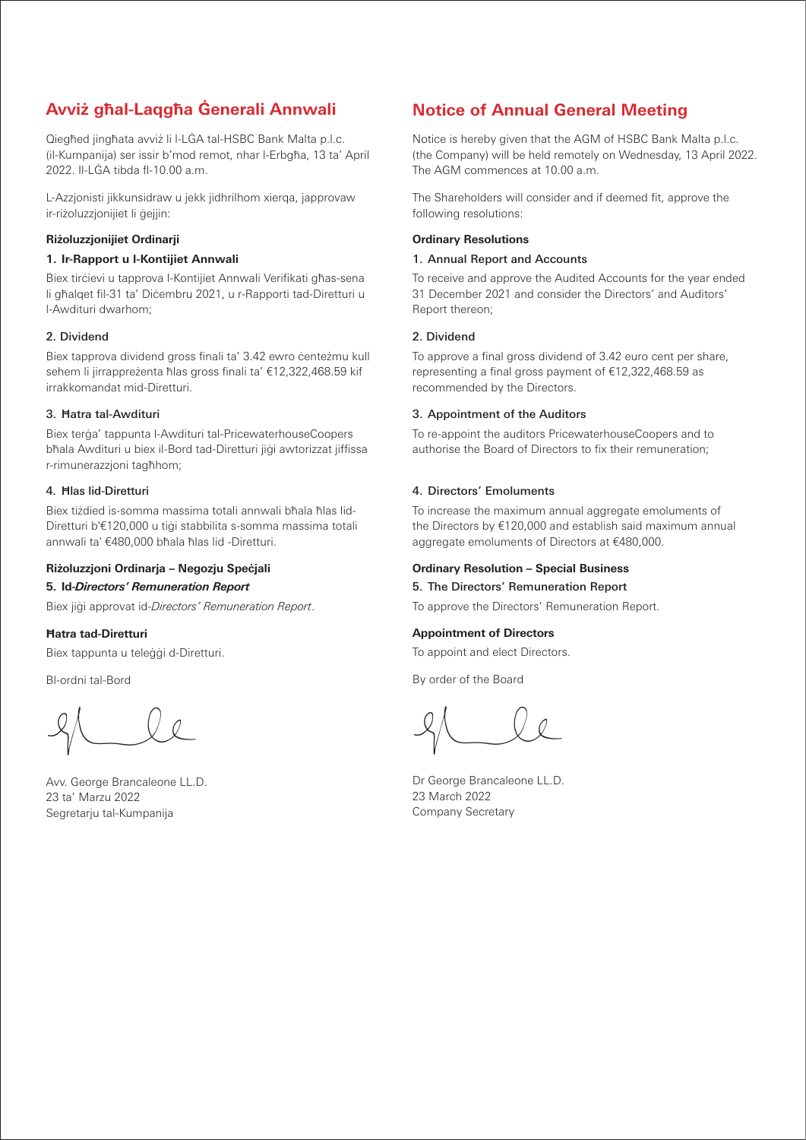# **Avviż għal-Laqgħa Ġenerali Annwali Notice of Annual General Meeting**

Qiegħed jingħata avviż li l-LĠA tal-HSBC Bank Malta p.l.c. (il-Kumpanija) ser issir b'mod remot, nhar l-Erbgħa, 13 ta' April 2022. Il-LĠA tibda fl-10.00 a.m.

L-Azzjonisti jikkunsidraw u jekk jidhrilhom xierqa, japprovaw ir-riżoluzzjonijiet li ġejjin:

#### **Riżoluzzjonijiet Ordinarji**

#### **1. Ir-Rapport u l-Kontijiet Annwali**

Biex tirċievi u tapprova l-Kontijiet Annwali Verifikati għas-sena li għalqet fil-31 ta' Diċembru 2021, u r-Rapporti tad-Diretturi u l-Awdituri dwarhom;

#### 2. Dividend

Biex tapprova dividend gross finali ta' 3.42 ewro centeżmu kull sehem li jirrappreżenta ħlas gross finali ta' €12,322,468.59 kif irrakkomandat mid-Diretturi.

#### 3. Ħatra tal-Awdituri

Biex terġa' tappunta l-Awdituri tal-PricewaterhouseCoopers bħala Awdituri u biex il-Bord tad-Diretturi jiġi awtorizzat jiffissa r-rimunerazzjoni tagħhom;

#### 4. Ħlas lid-Diretturi

Biex tiżdied is-somma massima totali annwali bħala ħlas lid-Diretturi b'€120,000 u tiġi stabbilita s-somma massima totali annwali ta' €480,000 bħala ħlas lid -Diretturi.

#### **Riżoluzzjoni Ordinarja – Negozju Speċjali**

#### **5. Id-***Directors' Remuneration Report*

Biex jiġi approvat id-*Directors' Remuneration Report*.

#### **Ħatra tad-Diretturi**

Biex tappunta u teleġġi d-Diretturi.

Bl-ordni tal-Bord

Avv. George Brancaleone LL.D. 23 ta' Marzu 2022 Segretarju tal-Kumpanija

Notice is hereby given that the AGM of HSBC Bank Malta p.l.c. (the Company) will be held remotely on Wednesday, 13 April 2022. The AGM commences at 10.00 a.m.

The Shareholders will consider and if deemed fit, approve the following resolutions:

#### **Ordinary Resolutions**

#### 1. Annual Report and Accounts

To receive and approve the Audited Accounts for the year ended 31 December 2021 and consider the Directors' and Auditors' Report thereon;

#### 2. Dividend

To approve a final gross dividend of 3.42 euro cent per share, representing a final gross payment of €12,322,468.59 as recommended by the Directors.

#### 3. Appointment of the Auditors

To re-appoint the auditors PricewaterhouseCoopers and to authorise the Board of Directors to fix their remuneration;

#### 4. Directors' Emoluments

To increase the maximum annual aggregate emoluments of the Directors by €120,000 and establish said maximum annual aggregate emoluments of Directors at €480,000.

#### **Ordinary Resolution – Special Business**

#### 5. The Directors' Remuneration Report

To approve the Directors' Remuneration Report.

#### **Appointment of Directors**

To appoint and elect Directors.

By order of the Board

Dr George Brancaleone LL.D. 23 March 2022 Company Secretary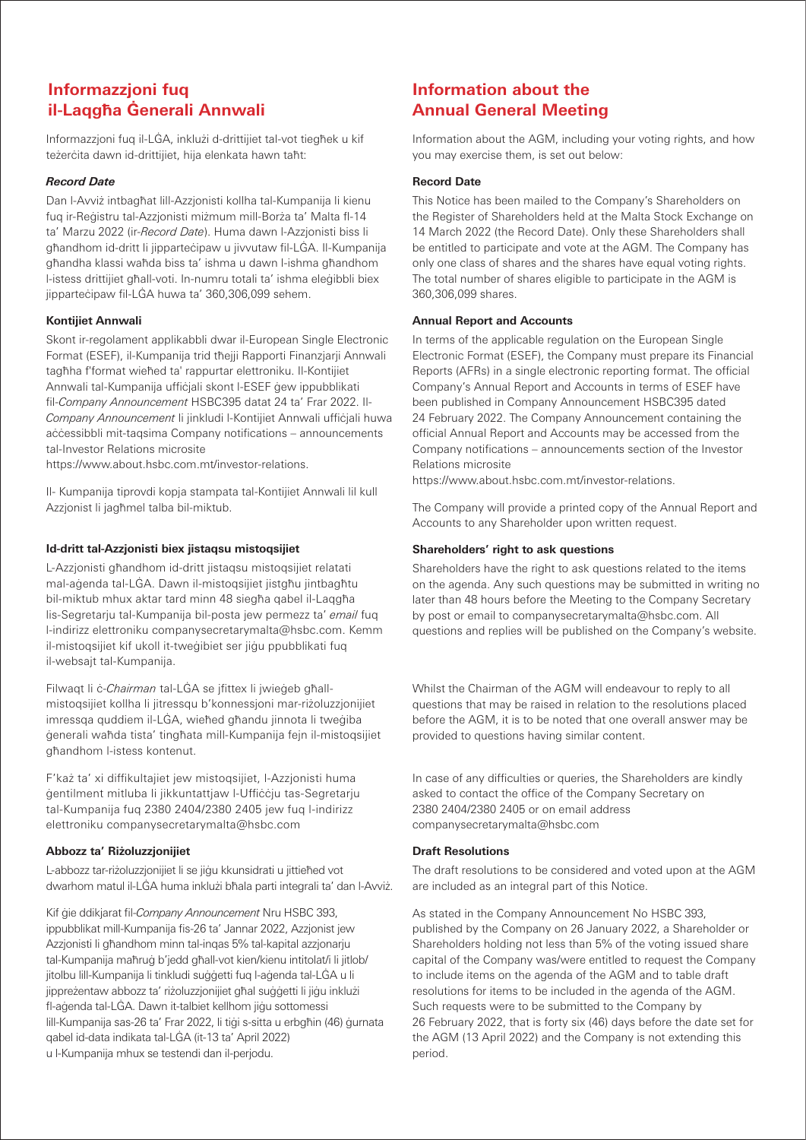# **Informazzjoni fuq il-Laqgħa Ġenerali Annwali**

Informazzjoni fuq il-LĠA, inklużi d-drittijiet tal-vot tiegħek u kif teżerċita dawn id-drittijiet, hija elenkata hawn taħt:

#### *Record Date*

Dan l-Avviż intbagħat lill-Azzjonisti kollha tal-Kumpanija li kienu fuq ir-Reġistru tal-Azzjonisti miżmum mill-Borża ta' Malta fl-14 ta' Marzu 2022 (ir-*Record Date*). Huma dawn l-Azzjonisti biss li għandhom id-dritt li jipparteċipaw u jivvutaw fil-LĠA. Il-Kumpanija għandha klassi waħda biss ta' ishma u dawn l-ishma għandhom l-istess drittijiet għall-voti. In-numru totali ta' ishma eleġibbli biex jipparteċipaw fil-LĠA huwa ta' 360,306,099 sehem.

### **Kontijiet Annwali**

Skont ir-regolament applikabbli dwar il-European Single Electronic Format (ESEF), il-Kumpanija trid tħejji Rapporti Finanzjarji Annwali tagħha f'format wieħed ta' rappurtar elettroniku. Il-Kontijiet Annwali tal-Kumpanija uffiċjali skont l-ESEF ġew ippubblikati fil-*Company Announcement* HSBC395 datat 24 ta' Frar 2022. Il-*Company Announcement* li jinkludi l-Kontijiet Annwali uffiċjali huwa aċċessibbli mit-taqsima Company notifications – announcements tal-Investor Relations microsite

https://www.about.hsbc.com.mt/investor-relations.

Il- Kumpanija tiprovdi kopja stampata tal-Kontijiet Annwali lil kull Azzjonist li jagħmel talba bil-miktub.

### **Id-dritt tal-Azzjonisti biex jistaqsu mistoqsijiet**

L-Azzjonisti għandhom id-dritt jistaqsu mistoqsijiet relatati mal-aġenda tal-LĠA. Dawn il-mistoqsijiet jistgħu jintbagħtu bil-miktub mhux aktar tard minn 48 siegħa qabel il-Laqgħa lis-Segretarju tal-Kumpanija bil-posta jew permezz ta' *email* fuq l-indirizz elettroniku companysecretarymalta@hsbc.com. Kemm il-mistoqsijiet kif ukoll it-tweġibiet ser jiġu ppubblikati fuq il-websajt tal-Kumpanija.

Filwaqt li ċ-*Chairman* tal-LĠA se jfittex li jwieġeb għallmistoqsijiet kollha li jitressqu b'konnessjoni mar-riżoluzzjonijiet imressqa quddiem il-LĠA, wieħed għandu jinnota li tweġiba ġenerali waħda tista' tingħata mill-Kumpanija fejn il-mistoqsijiet għandhom l-istess kontenut.

F'każ ta' xi diffikultajiet jew mistoqsijiet, l-Azzjonisti huma ġentilment mitluba li jikkuntattjaw l-Uffiċċju tas-Segretarju tal-Kumpanija fuq 2380 2404/2380 2405 jew fuq l-indirizz elettroniku companysecretarymalta@hsbc.com

#### **Abbozz ta' Riżoluzzjonijiet**

L-abbozz tar-riżoluzzjonijiet li se jiġu kkunsidrati u jittieħed vot dwarhom matul il-LĠA huma inklużi bħala parti integrali ta' dan l-Avviż.

Kif ġie ddikjarat fil-*Company Announcement* Nru HSBC 393, ippubblikat mill-Kumpanija fis-26 ta' Jannar 2022, Azzjonist jew Azzjonisti li għandhom minn tal-inqas 5% tal-kapital azzjonarju tal-Kumpanija maħruġ b'jedd għall-vot kien/kienu intitolat/i li jitlob/ jitolbu lill-Kumpanija li tinkludi suġġetti fuq l-aġenda tal-LĠA u li jippreżentaw abbozz ta' riżoluzzjonijiet għal suġġetti li jiġu inklużi fl-aġenda tal-LĠA. Dawn it-talbiet kellhom jiġu sottomessi lill-Kumpanija sas-26 ta' Frar 2022, li tiġi s-sitta u erbgħin (46) ġurnata qabel id-data indikata tal-LĠA (it-13 ta' April 2022) u l-Kumpanija mhux se testendi dan il-perjodu.

# **Information about the Annual General Meeting**

Information about the AGM, including your voting rights, and how you may exercise them, is set out below:

#### **Record Date**

This Notice has been mailed to the Company's Shareholders on the Register of Shareholders held at the Malta Stock Exchange on 14 March 2022 (the Record Date). Only these Shareholders shall be entitled to participate and vote at the AGM. The Company has only one class of shares and the shares have equal voting rights. The total number of shares eligible to participate in the AGM is 360,306,099 shares.

#### **Annual Report and Accounts**

In terms of the applicable regulation on the European Single Electronic Format (ESEF), the Company must prepare its Financial Reports (AFRs) in a single electronic reporting format. The official Company's Annual Report and Accounts in terms of ESEF have been published in Company Announcement HSBC395 dated 24 February 2022. The Company Announcement containing the official Annual Report and Accounts may be accessed from the Company notifications – announcements section of the Investor Relations microsite

https://www.about.hsbc.com.mt/investor-relations.

The Company will provide a printed copy of the Annual Report and Accounts to any Shareholder upon written request.

#### **Shareholders' right to ask questions**

Shareholders have the right to ask questions related to the items on the agenda. Any such questions may be submitted in writing no later than 48 hours before the Meeting to the Company Secretary by post or email to companysecretarymalta@hsbc.com. All questions and replies will be published on the Company's website.

Whilst the Chairman of the AGM will endeavour to reply to all questions that may be raised in relation to the resolutions placed before the AGM, it is to be noted that one overall answer may be provided to questions having similar content.

In case of any difficulties or queries, the Shareholders are kindly asked to contact the office of the Company Secretary on 2380 2404/2380 2405 or on email address companysecretarymalta@hsbc.com

#### **Draft Resolutions**

The draft resolutions to be considered and voted upon at the AGM are included as an integral part of this Notice.

As stated in the Company Announcement No HSBC 393, published by the Company on 26 January 2022, a Shareholder or Shareholders holding not less than 5% of the voting issued share capital of the Company was/were entitled to request the Company to include items on the agenda of the AGM and to table draft resolutions for items to be included in the agenda of the AGM. Such requests were to be submitted to the Company by 26 February 2022, that is forty six (46) days before the date set for the AGM (13 April 2022) and the Company is not extending this period.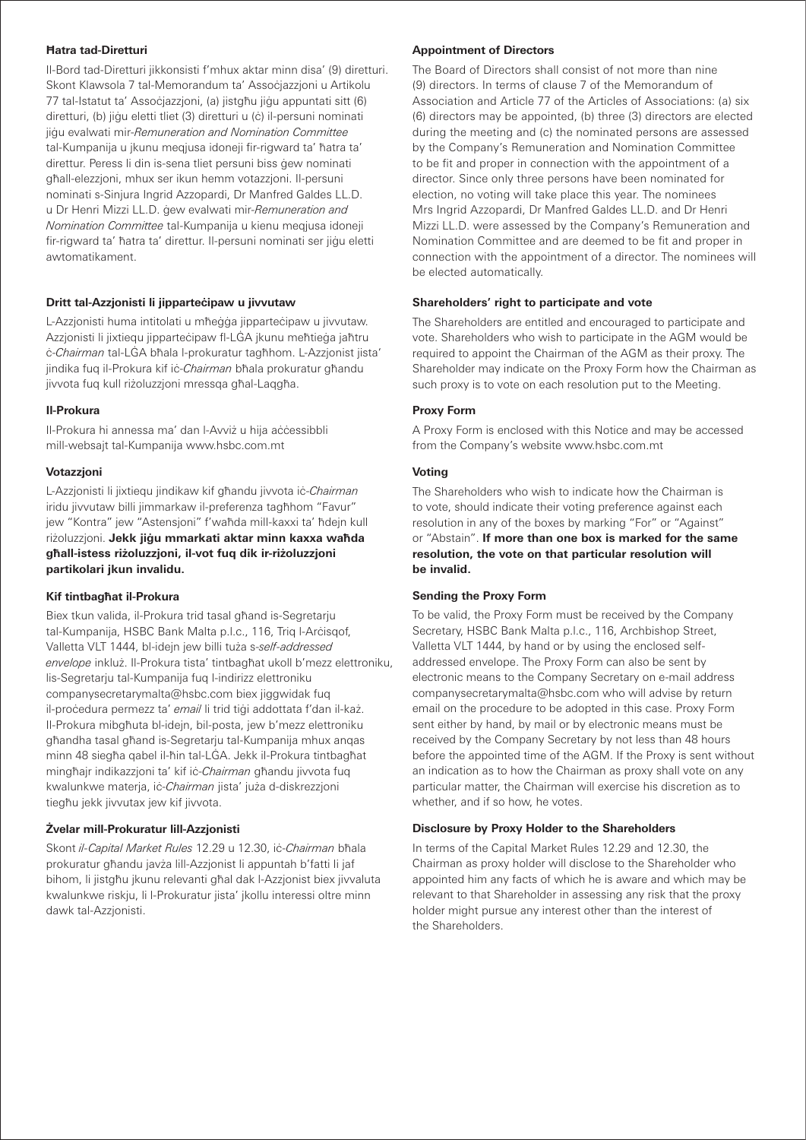### **Ħatra tad-Diretturi**

Il-Bord tad-Diretturi jikkonsisti f'mhux aktar minn disa' (9) diretturi. Skont Klawsola 7 tal-Memorandum ta' Assocjazzjoni u Artikolu 77 tal-Istatut ta' Assoċjazzjoni, (a) jistgħu jiġu appuntati sitt (6) diretturi, (b) jiġu eletti tliet (3) diretturi u (ċ) il-persuni nominati jiġu evalwati mir-*Remuneration and Nomination Committee* tal-Kumpanija u jkunu meqjusa idoneji fir-rigward ta' ħatra ta' direttur. Peress li din is-sena tliet persuni biss ġew nominati għall-elezzjoni, mhux ser ikun hemm votazzjoni. Il-persuni nominati s-Sinjura Ingrid Azzopardi, Dr Manfred Galdes LL.D. u Dr Henri Mizzi LL.D. ġew evalwati mir-*Remuneration and Nomination Committee* tal-Kumpanija u kienu meqjusa idoneji fir-rigward ta' ħatra ta' direttur. Il-persuni nominati ser jiġu eletti awtomatikament.

#### **Dritt tal-Azzjonisti li jipparteċipaw u jivvutaw**

L-Azzjonisti huma intitolati u mħeġġa jipparteċipaw u jivvutaw. Azzjonisti li jixtiequ jipparteċipaw fl-LĠA jkunu meħtieġa jaħtru ċ-*Chairman* tal-LĠA bħala l-prokuratur tagħhom. L-Azzjonist jista' jindika fuq il-Prokura kif iċ-*Chairman* bħala prokuratur għandu jivvota fuq kull riżoluzzjoni mressqa għal-Laqgħa.

#### **Il-Prokura**

Il-Prokura hi annessa ma' dan l-Avviż u hija aċċessibbli mill-websajt tal-Kumpanija www.hsbc.com.mt

#### **Votazzjoni**

L-Azzjonisti li jixtiequ jindikaw kif għandu jivvota iċ-*Chairman* iridu jivvutaw billi jimmarkaw il-preferenza tagħhom "Favur" jew "Kontra" jew "Astensjoni" f'waħda mill-kaxxi ta' ħdejn kull riżoluzzjoni. **Jekk jiġu mmarkati aktar minn kaxxa waħda għall-istess riżoluzzjoni, il-vot fuq dik ir-riżoluzzjoni partikolari jkun invalidu.**

#### **Kif tintbagħat il-Prokura**

Biex tkun valida, il-Prokura trid tasal għand is-Segretarju tal-Kumpanija, HSBC Bank Malta p.l.c., 116, Trig l-Arċisgof, Valletta VLT 1444, bl-idejn jew billi tuża s-*self-addressed envelope* inkluż. Il-Prokura tista' tintbagħat ukoll b'mezz elettroniku, lis-Segretarju tal-Kumpanija fuq l-indirizz elettroniku companysecretarymalta@hsbc.com biex jiggwidak fuq il-proċedura permezz ta' *email* li trid tiġi addottata f'dan il-każ. Il-Prokura mibgħuta bl-idejn, bil-posta, jew b'mezz elettroniku għandha tasal għand is-Segretarju tal-Kumpanija mhux anqas minn 48 siegħa qabel il-ħin tal-LĠA. Jekk il-Prokura tintbagħat mingħajr indikazzjoni ta' kif iċ-*Chairman* għandu jivvota fuq kwalunkwe materja, iċ-*Chairman* jista' juża d-diskrezzjoni tiegħu jekk jivvutax jew kif jivvota.

#### **Żvelar mill-Prokuratur lill-Azzjonisti**

Skont *il-Capital Market Rules* 12.29 u 12.30, iċ-*Chairman* bħala prokuratur għandu javża lill-Azzjonist li appuntah b'fatti li jaf bihom, li jistgħu jkunu relevanti għal dak l-Azzjonist biex jivvaluta kwalunkwe riskju, li l-Prokuratur jista' jkollu interessi oltre minn dawk tal-Azzjonisti.

### **Appointment of Directors**

The Board of Directors shall consist of not more than nine (9) directors. In terms of clause 7 of the Memorandum of Association and Article 77 of the Articles of Associations: (a) six (6) directors may be appointed, (b) three (3) directors are elected during the meeting and (c) the nominated persons are assessed by the Company's Remuneration and Nomination Committee to be fit and proper in connection with the appointment of a director. Since only three persons have been nominated for election, no voting will take place this year. The nominees Mrs Ingrid Azzopardi, Dr Manfred Galdes LL.D. and Dr Henri Mizzi LL.D. were assessed by the Company's Remuneration and Nomination Committee and are deemed to be fit and proper in connection with the appointment of a director. The nominees will be elected automatically.

#### **Shareholders' right to participate and vote**

The Shareholders are entitled and encouraged to participate and vote. Shareholders who wish to participate in the AGM would be required to appoint the Chairman of the AGM as their proxy. The Shareholder may indicate on the Proxy Form how the Chairman as such proxy is to vote on each resolution put to the Meeting.

#### **Proxy Form**

A Proxy Form is enclosed with this Notice and may be accessed from the Company's website www.hsbc.com.mt

#### **Voting**

The Shareholders who wish to indicate how the Chairman is to vote, should indicate their voting preference against each resolution in any of the boxes by marking "For" or "Against" or "Abstain". **If more than one box is marked for the same resolution, the vote on that particular resolution will be invalid.**

#### **Sending the Proxy Form**

To be valid, the Proxy Form must be received by the Company Secretary, HSBC Bank Malta p.l.c., 116, Archbishop Street, Valletta VLT 1444, by hand or by using the enclosed selfaddressed envelope. The Proxy Form can also be sent by electronic means to the Company Secretary on e-mail address companysecretarymalta@hsbc.com who will advise by return email on the procedure to be adopted in this case. Proxy Form sent either by hand, by mail or by electronic means must be received by the Company Secretary by not less than 48 hours before the appointed time of the AGM. If the Proxy is sent without an indication as to how the Chairman as proxy shall vote on any particular matter, the Chairman will exercise his discretion as to whether, and if so how, he votes.

#### **Disclosure by Proxy Holder to the Shareholders**

In terms of the Capital Market Rules 12.29 and 12.30, the Chairman as proxy holder will disclose to the Shareholder who appointed him any facts of which he is aware and which may be relevant to that Shareholder in assessing any risk that the proxy holder might pursue any interest other than the interest of the Shareholders.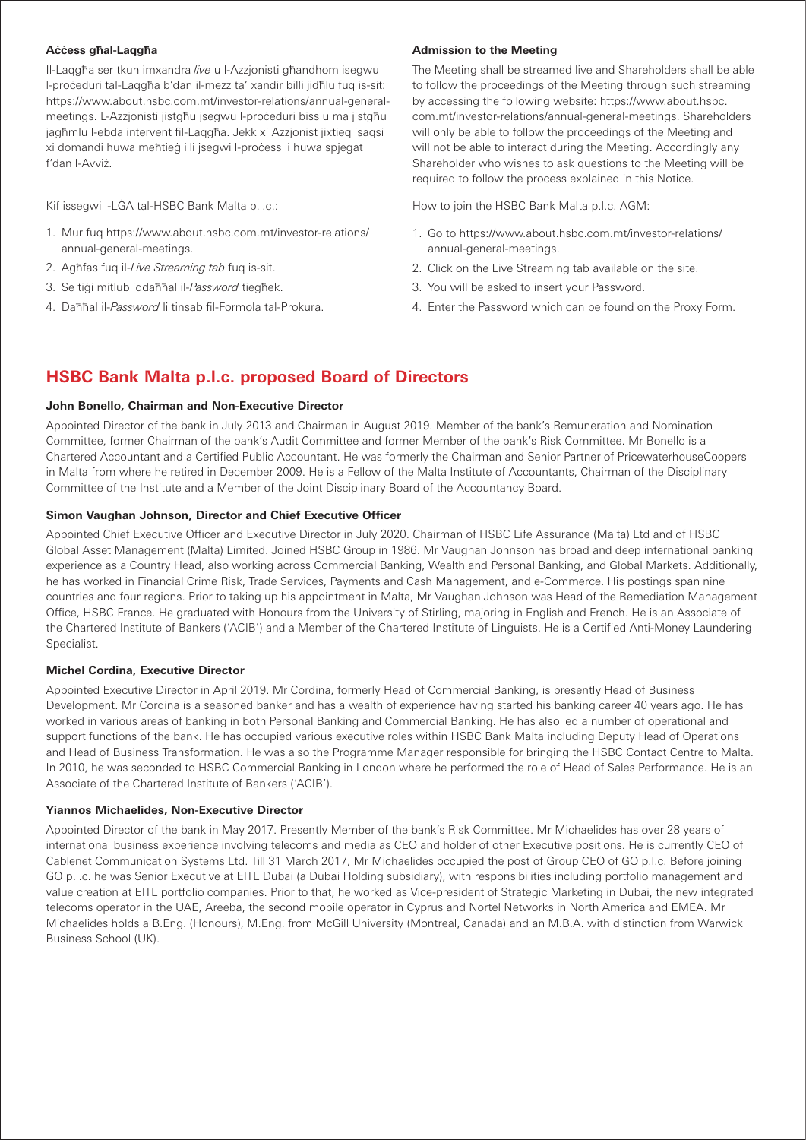### **Aċċess għal-Laqgħa**

Il-Laqgħa ser tkun imxandra *live* u l-Azzjonisti għandhom isegwu l-proċeduri tal-Laqgħa b'dan il-mezz ta' xandir billi jidħlu fuq is-sit: https://www.about.hsbc.com.mt/investor-relations/annual-generalmeetings. L-Azzjonisti jistgħu jsegwu l-proċeduri biss u ma jistgħu jagħmlu l-ebda intervent fil-Laqgħa. Jekk xi Azzjonist jixtieq isaqsi xi domandi huwa meħtieġ illi jsegwi l-proċess li huwa spjegat f'dan l-Avviż.

Kif issegwi l-LĠA tal-HSBC Bank Malta p.l.c.:

- 1. Mur fuq https://www.about.hsbc.com.mt/investor-relations/ annual-general-meetings.
- 2. Agħfas fuq il-*Live Streaming tab* fuq is-sit.
- 3. Se tiġi mitlub iddaħħal il-*Password* tiegħek.
- 4. Daħħal il-*Password* li tinsab fil-Formola tal-Prokura.

### **Admission to the Meeting**

The Meeting shall be streamed live and Shareholders shall be able to follow the proceedings of the Meeting through such streaming by accessing the following website: https://www.about.hsbc. com.mt/investor-relations/annual-general-meetings. Shareholders will only be able to follow the proceedings of the Meeting and will not be able to interact during the Meeting. Accordingly any Shareholder who wishes to ask questions to the Meeting will be required to follow the process explained in this Notice.

How to join the HSBC Bank Malta p.l.c. AGM:

- 1. Go to https://www.about.hsbc.com.mt/investor-relations/ annual-general-meetings.
- 2. Click on the Live Streaming tab available on the site.
- 3. You will be asked to insert your Password.
- 4. Enter the Password which can be found on the Proxy Form.

# **HSBC Bank Malta p.l.c. proposed Board of Directors**

#### **John Bonello, Chairman and Non-Executive Director**

Appointed Director of the bank in July 2013 and Chairman in August 2019. Member of the bank's Remuneration and Nomination Committee, former Chairman of the bank's Audit Committee and former Member of the bank's Risk Committee. Mr Bonello is a Chartered Accountant and a Certified Public Accountant. He was formerly the Chairman and Senior Partner of PricewaterhouseCoopers in Malta from where he retired in December 2009. He is a Fellow of the Malta Institute of Accountants, Chairman of the Disciplinary Committee of the Institute and a Member of the Joint Disciplinary Board of the Accountancy Board.

#### **Simon Vaughan Johnson, Director and Chief Executive Officer**

Appointed Chief Executive Officer and Executive Director in July 2020. Chairman of HSBC Life Assurance (Malta) Ltd and of HSBC Global Asset Management (Malta) Limited. Joined HSBC Group in 1986. Mr Vaughan Johnson has broad and deep international banking experience as a Country Head, also working across Commercial Banking, Wealth and Personal Banking, and Global Markets. Additionally, he has worked in Financial Crime Risk, Trade Services, Payments and Cash Management, and e-Commerce. His postings span nine countries and four regions. Prior to taking up his appointment in Malta, Mr Vaughan Johnson was Head of the Remediation Management Office, HSBC France. He graduated with Honours from the University of Stirling, majoring in English and French. He is an Associate of the Chartered Institute of Bankers ('ACIB') and a Member of the Chartered Institute of Linguists. He is a Certified Anti-Money Laundering Specialist.

#### **Michel Cordina, Executive Director**

Appointed Executive Director in April 2019. Mr Cordina, formerly Head of Commercial Banking, is presently Head of Business Development. Mr Cordina is a seasoned banker and has a wealth of experience having started his banking career 40 years ago. He has worked in various areas of banking in both Personal Banking and Commercial Banking. He has also led a number of operational and support functions of the bank. He has occupied various executive roles within HSBC Bank Malta including Deputy Head of Operations and Head of Business Transformation. He was also the Programme Manager responsible for bringing the HSBC Contact Centre to Malta. In 2010, he was seconded to HSBC Commercial Banking in London where he performed the role of Head of Sales Performance. He is an Associate of the Chartered Institute of Bankers ('ACIB').

#### **Yiannos Michaelides, Non-Executive Director**

Appointed Director of the bank in May 2017. Presently Member of the bank's Risk Committee. Mr Michaelides has over 28 years of international business experience involving telecoms and media as CEO and holder of other Executive positions. He is currently CEO of Cablenet Communication Systems Ltd. Till 31 March 2017, Mr Michaelides occupied the post of Group CEO of GO p.l.c. Before joining GO p.l.c. he was Senior Executive at EITL Dubai (a Dubai Holding subsidiary), with responsibilities including portfolio management and value creation at EITL portfolio companies. Prior to that, he worked as Vice-president of Strategic Marketing in Dubai, the new integrated telecoms operator in the UAE, Areeba, the second mobile operator in Cyprus and Nortel Networks in North America and EMEA. Mr Michaelides holds a B.Eng. (Honours), M.Eng. from McGill University (Montreal, Canada) and an M.B.A. with distinction from Warwick Business School (UK).